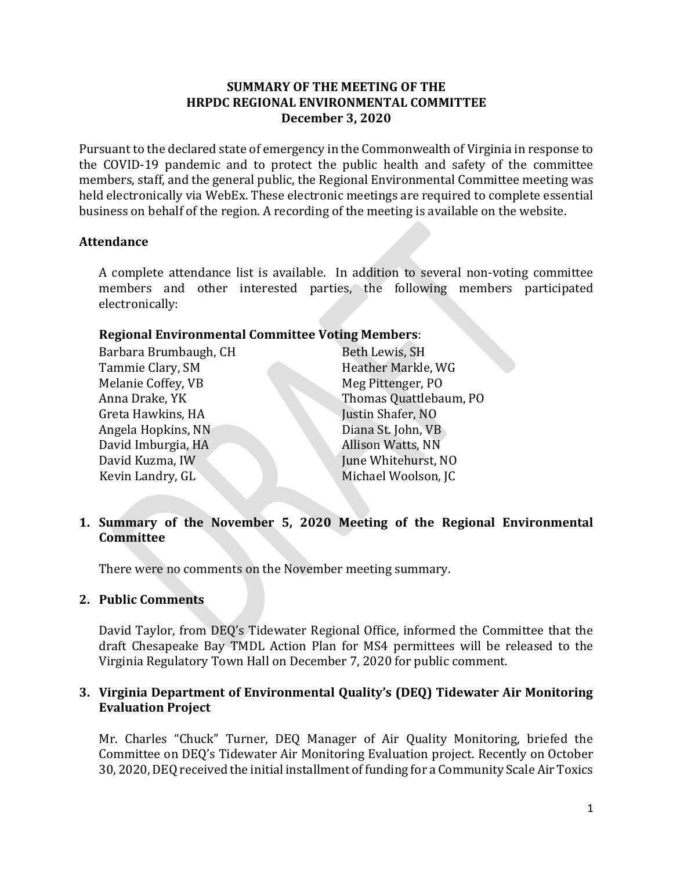### **SUMMARY OF THE MEETING OF THE HRPDC REGIONAL ENVIRONMENTAL COMMITTEE December 3, 2020**

Pursuant to the declared state of emergency in the Commonwealth of Virginia in response to the COVID-19 pandemic and to protect the public health and safety of the committee members, staff, and the general public, the Regional Environmental Committee meeting was held electronically via WebEx. These electronic meetings are required to complete essential business on behalf of the region. A recording of the meeting is available on the website.

### **Attendance**

A complete attendance list is available. In addition to several non-voting committee members and other interested parties, the following members participated electronically:

### **Regional Environmental Committee Voting Members**:

Barbara Brumbaugh, CH Tammie Clary, SM Melanie Coffey, VB Anna Drake, YK Greta Hawkins, HA Angela Hopkins, NN David Imburgia, HA David Kuzma, IW Kevin Landry, GL

Beth Lewis, SH Heather Markle, WG Meg Pittenger, PO Thomas Quattlebaum, PO Justin Shafer, NO Diana St. John, VB Allison Watts, NN June Whitehurst, NO Michael Woolson, JC

# **1. Summary of the November 5, 2020 Meeting of the Regional Environmental Committee**

There were no comments on the November meeting summary.

### **2. Public Comments**

David Taylor, from DEQ's Tidewater Regional Office, informed the Committee that the draft Chesapeake Bay TMDL Action Plan for MS4 permittees will be released to the Virginia Regulatory Town Hall on December 7, 2020 for public comment.

### **3. Virginia Department of Environmental Quality's (DEQ) Tidewater Air Monitoring Evaluation Project**

Mr. Charles "Chuck" Turner, DEQ Manager of Air Quality Monitoring, briefed the Committee on DEQ's Tidewater Air Monitoring Evaluation project. Recently on October 30, 2020, DEQ received the initial installment of funding for a Community Scale Air Toxics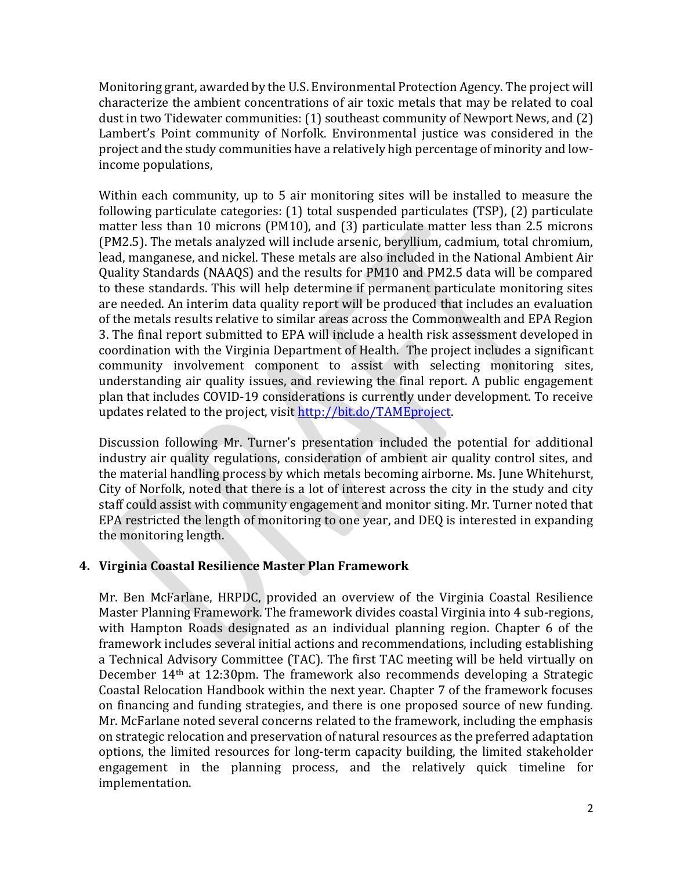Monitoring grant, awarded by the U.S. Environmental Protection Agency. The project will characterize the ambient concentrations of air toxic metals that may be related to coal dust in two Tidewater communities: (1) southeast community of Newport News, and (2) Lambert's Point community of Norfolk. Environmental justice was considered in the project and the study communities have a relatively high percentage of minority and lowincome populations,

Within each community, up to 5 air monitoring sites will be installed to measure the following particulate categories: (1) total suspended particulates (TSP), (2) particulate matter less than 10 microns (PM10), and (3) particulate matter less than 2.5 microns (PM2.5). The metals analyzed will include arsenic, beryllium, cadmium, total chromium, lead, manganese, and nickel. These metals are also included in the National Ambient Air Quality Standards (NAAQS) and the results for PM10 and PM2.5 data will be compared to these standards. This will help determine if permanent particulate monitoring sites are needed. An interim data quality report will be produced that includes an evaluation of the metals results relative to similar areas across the Commonwealth and EPA Region 3. The final report submitted to EPA will include a health risk assessment developed in coordination with the Virginia Department of Health. The project includes a significant community involvement component to assist with selecting monitoring sites, understanding air quality issues, and reviewing the final report. A public engagement plan that includes COVID-19 considerations is currently under development. To receive updates related to the project, visit [http://bit.do/TAMEproject.](http://bit.do/TAMEproject)

Discussion following Mr. Turner's presentation included the potential for additional industry air quality regulations, consideration of ambient air quality control sites, and the material handling process by which metals becoming airborne. Ms. June Whitehurst, City of Norfolk, noted that there is a lot of interest across the city in the study and city staff could assist with community engagement and monitor siting. Mr. Turner noted that EPA restricted the length of monitoring to one year, and DEQ is interested in expanding the monitoring length.

# **4. Virginia Coastal Resilience Master Plan Framework**

Mr. Ben McFarlane, HRPDC, provided an overview of the Virginia Coastal Resilience Master Planning Framework. The framework divides coastal Virginia into 4 sub-regions, with Hampton Roads designated as an individual planning region. Chapter 6 of the framework includes several initial actions and recommendations, including establishing a Technical Advisory Committee (TAC). The first TAC meeting will be held virtually on December 14th at 12:30pm. The framework also recommends developing a Strategic Coastal Relocation Handbook within the next year. Chapter 7 of the framework focuses on financing and funding strategies, and there is one proposed source of new funding. Mr. McFarlane noted several concerns related to the framework, including the emphasis on strategic relocation and preservation of natural resources as the preferred adaptation options, the limited resources for long-term capacity building, the limited stakeholder engagement in the planning process, and the relatively quick timeline for implementation.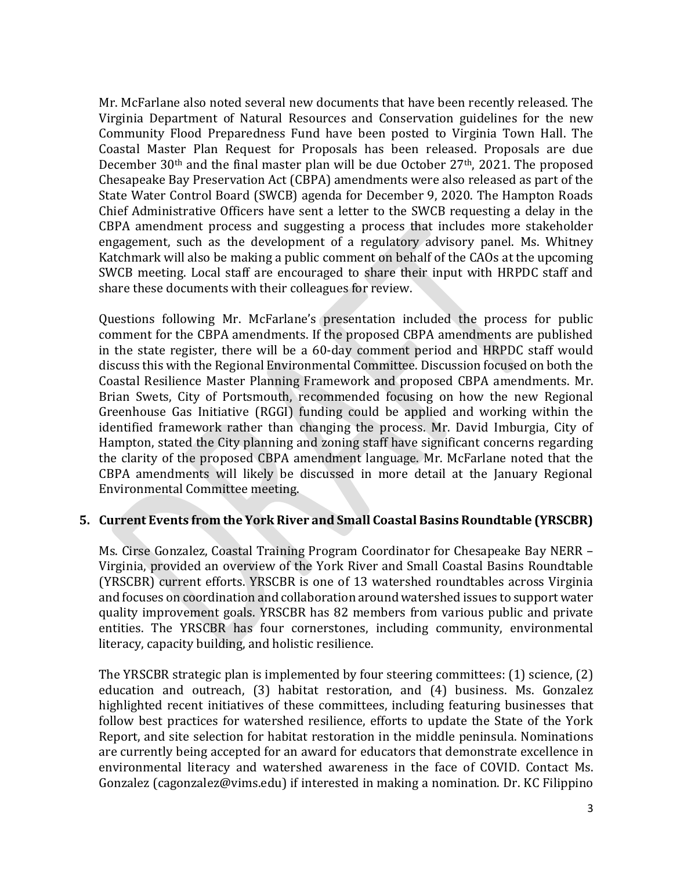Mr. McFarlane also noted several new documents that have been recently released. The Virginia Department of Natural Resources and Conservation guidelines for the new Community Flood Preparedness Fund have been posted to Virginia Town Hall. The Coastal Master Plan Request for Proposals has been released. Proposals are due December  $30<sup>th</sup>$  and the final master plan will be due October  $27<sup>th</sup>$ , 2021. The proposed Chesapeake Bay Preservation Act (CBPA) amendments were also released as part of the State Water Control Board (SWCB) agenda for December 9, 2020. The Hampton Roads Chief Administrative Officers have sent a letter to the SWCB requesting a delay in the CBPA amendment process and suggesting a process that includes more stakeholder engagement, such as the development of a regulatory advisory panel. Ms. Whitney Katchmark will also be making a public comment on behalf of the CAOs at the upcoming SWCB meeting. Local staff are encouraged to share their input with HRPDC staff and share these documents with their colleagues for review.

Questions following Mr. McFarlane's presentation included the process for public comment for the CBPA amendments. If the proposed CBPA amendments are published in the state register, there will be a 60-day comment period and HRPDC staff would discuss this with the Regional Environmental Committee. Discussion focused on both the Coastal Resilience Master Planning Framework and proposed CBPA amendments. Mr. Brian Swets, City of Portsmouth, recommended focusing on how the new Regional Greenhouse Gas Initiative (RGGI) funding could be applied and working within the identified framework rather than changing the process. Mr. David Imburgia, City of Hampton, stated the City planning and zoning staff have significant concerns regarding the clarity of the proposed CBPA amendment language. Mr. McFarlane noted that the CBPA amendments will likely be discussed in more detail at the January Regional Environmental Committee meeting.

### **5. Current Events from the York River and Small Coastal Basins Roundtable (YRSCBR)**

Ms. Cirse Gonzalez, Coastal Training Program Coordinator for Chesapeake Bay NERR – Virginia, provided an overview of the York River and Small Coastal Basins Roundtable (YRSCBR) current efforts. YRSCBR is one of 13 watershed roundtables across Virginia and focuses on coordination and collaboration around watershed issues to support water quality improvement goals. YRSCBR has 82 members from various public and private entities. The YRSCBR has four cornerstones, including community, environmental literacy, capacity building, and holistic resilience.

The YRSCBR strategic plan is implemented by four steering committees: (1) science, (2) education and outreach, (3) habitat restoration, and (4) business. Ms. Gonzalez highlighted recent initiatives of these committees, including featuring businesses that follow best practices for watershed resilience, efforts to update the State of the York Report, and site selection for habitat restoration in the middle peninsula. Nominations are currently being accepted for an award for educators that demonstrate excellence in environmental literacy and watershed awareness in the face of COVID. Contact Ms. Gonzalez (cagonzalez@vims.edu) if interested in making a nomination. Dr. KC Filippino